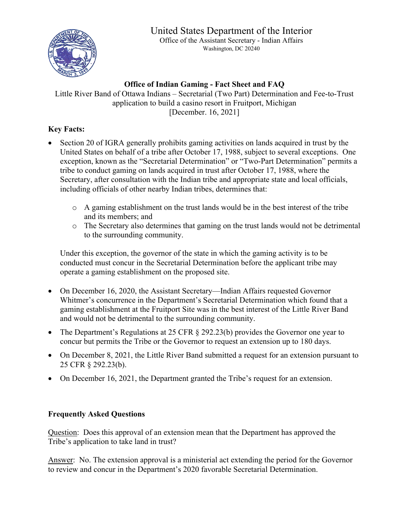## United States Department of the Interior



Office of the Assistant Secretary - Indian Affairs Washington, DC 20240

## **Office of Indian Gaming - Fact Sheet and FAQ**

Little River Band of Ottawa Indians – Secretarial (Two Part) Determination and Fee-to-Trust application to build a casino resort in Fruitport, Michigan [December. 16, 2021]

## **Key Facts:**

- Section 20 of IGRA generally prohibits gaming activities on lands acquired in trust by the United States on behalf of a tribe after October 17, 1988, subject to several exceptions. One exception, known as the "Secretarial Determination" or "Two-Part Determination" permits a tribe to conduct gaming on lands acquired in trust after October 17, 1988, where the Secretary, after consultation with the Indian tribe and appropriate state and local officials, including officials of other nearby Indian tribes, determines that:
	- o A gaming establishment on the trust lands would be in the best interest of the tribe and its members; and
	- o The Secretary also determines that gaming on the trust lands would not be detrimental to the surrounding community.

Under this exception, the governor of the state in which the gaming activity is to be conducted must concur in the Secretarial Determination before the applicant tribe may operate a gaming establishment on the proposed site.

- On December 16, 2020, the Assistant Secretary—Indian Affairs requested Governor Whitmer's concurrence in the Department's Secretarial Determination which found that a gaming establishment at the Fruitport Site was in the best interest of the Little River Band and would not be detrimental to the surrounding community.
- The Department's Regulations at 25 CFR § 292.23(b) provides the Governor one year to concur but permits the Tribe or the Governor to request an extension up to 180 days.
- On December 8, 2021, the Little River Band submitted a request for an extension pursuant to 25 CFR § 292.23(b).
- On December 16, 2021, the Department granted the Tribe's request for an extension.

## **Frequently Asked Questions**

Question: Does this approval of an extension mean that the Department has approved the Tribe's application to take land in trust?

Answer: No. The extension approval is a ministerial act extending the period for the Governor to review and concur in the Department's 2020 favorable Secretarial Determination.